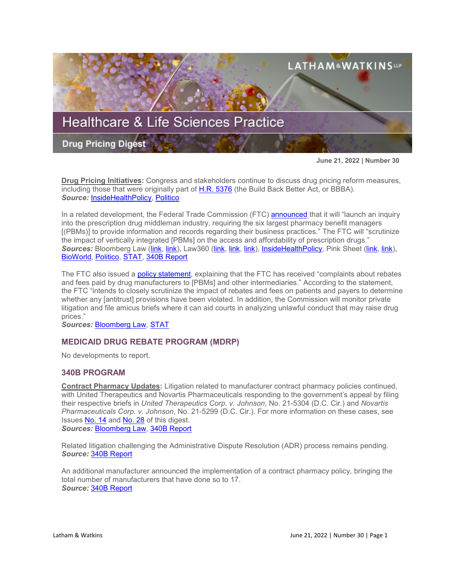

**June 21, 2022 | Number 30**

**Drug Pricing Initiatives:** Congress and stakeholders continue to discuss drug pricing reform measures, including those that were originally part of [H.R. 5376](https://www.sites.lwcommunicate.com/e/rsuy4ryabtyriig/f831d9cf-6927-4352-a6f9-2b8f768792b1) (the Build Back Better Act, or BBBA). *Source:* [InsideHealthPolicy,](https://insidehealthpolicy.com/daily-news/manchin-again-says-drug-pricing-could-go-alone-no-talk-arp-credits) [Politico](https://subscriber.politicopro.com/article/2022/06/following-repeal-and-replace-defeat-republicans-chart-a-new-course-on-health-care-00037715?source=email)

In a related development, the Federal Trade Commission (FTC) **[announced](https://www.ftc.gov/news-events/news/press-releases/2022/06/ftc-launches-inquiry-prescription-drug-middlemen-industry)** that it will "launch an inquiry into the prescription drug middleman industry, requiring the six largest pharmacy benefit managers [(PBMs)] to provide information and records regarding their business practices." The FTC will "scrutinize the impact of vertically integrated [PBMs] on the access and affordability of prescription drugs." *Sources:* Bloomberg Law [\(link,](https://www.bloomberglaw.com/product/blaw/bloomberglawnews/health-law-and-business/BNA%2000000181-3f66-d80d-a7b9-ffef23b20003?bwid=00000181-3f66-d80d-a7b9-ffef23b20003&cti=LFVL&emc=bhlnw_cn%3A2&et=CHANNEL_NOTIFICATION&isAlert=false&item=read-text&qid=7304451®ion=digest&source=breaking-news&uc=1320011525&udvType=Alert&usertype=External) [link\)](https://www.bloomberglaw.com/product/blaw/bloomberglawnews/health-law-and-business/BNA%2000000181-3fc1-d283-a9b7-7fef53ae0001?bwid=00000181-3fc1-d283-a9b7-7fef53ae0001&cti=LFVL&emc=bhlnw_nl%3A5&et=NEWSLETTER&isAlert=false&item=read-text&qid=7304818®ion=digest&source=newsletter&uc=1320011525&udvType=Alert&usertype=External), Law360 [\(link,](https://www.law360.com/health/articles/1500556/ftc-to-probe-pharma-middlemen-over-high-drug-prices?nl_pk=efd0bb39-bda0-4dc3-a4fa-7fca45bb788c&utm_source=newsletter&utm_medium=email&utm_campaign=health&utm_content=2022-06-08&read_more=1&attachments=true) [link,](https://www.law360.com/health/articles/1494708/ftc-probe-into-rx-middlemen-may-spark-industry-shakeup?nl_pk=efd0bb39-bda0-4dc3-a4fa-7fca45bb788c&utm_source=newsletter&utm_medium=email&utm_campaign=health&utm_content=2022-06-09&read_more=1) [link\)](https://www.law360.com/articles/1501754?e_id=f52a67ed-8aa8-4f14-ae7d-5adf7eeb7f27&utm_source=engagement-alerts&utm_medium=email&utm_campaign=similar_articles), [InsideHealthPolicy,](https://insidehealthpolicy.com/daily-news/ftc-probe-impact-pbms-consumer-drug-costs) Pink Sheet [\(link,](https://pink.pharmaintelligence.informa.com/PS146297/FTC-Launches-Colonoscopy-Into-PBM-Practices-Including-Focus-On-Consumer-Costs-Access?utm_medium=email&utm_source=sfmc&utm_campaign=Pink+Sheet+My+View+Email&utm_id=4343847&sfmc_id=197037759) [link\)](https://generics.pharmaintelligence.informa.com/GB151948/Industry-Hails-Access-Implications-As-FTC-Promises-PBM-Probe), [BioWorld,](https://www.bioworld.com/articles/519568-us-ftc-to-open-the-black-box-on-pbm-dealings?v=preview) [Politico,](https://subscriber.politicopro.com/article/2022/06/ftc-votes-unanimously-to-study-business-practices-of-pharmacy-middlemen-00037822?source=email) [STAT,](https://www.statnews.com/pharmalot/2022/06/08/ftc-pbm-medicines-cvs-probe/?utm_campaign=pharmalittle&utm_medium=email&_hsmi=215783760&_hsenc=p2ANqtz-8bRzbRjfVv0uYM8MEWc4MLekqpzqmudtaXH4vaS6kkfWTpdo4rlG_nzQQh2neMhf1An3oZGrDI-f-bYylDFR-nsmSUiA&utm_content=215783760&utm_source=hs_email) [340B Report](https://340breport.com/ftc-to-investigate-pbms-impact-on-drug-access-and-affordability/)

The FTC also issued a [policy statement,](https://www.ftc.gov/system/files/ftc_gov/pdf/Policy%20Statement%20of%20the%20Federal%20Trade%20Commission%20on%20Rebates%20and%20Fees%20in%20Exchange%20for%20Excluding%20Lower-Cost%20Drug%20Products.near%20final.pdf) explaining that the FTC has received "complaints about rebates and fees paid by drug manufacturers to [PBMs] and other intermediaries." According to the statement, the FTC "intends to closely scrutinize the impact of rebates and fees on patients and payers to determine whether any [antitrust] provisions have been violated. In addition, the Commission will monitor private litigation and file amicus briefs where it can aid courts in analyzing unlawful conduct that may raise drug prices."

*Sources:* [Bloomberg Law,](https://www.bloomberglaw.com/product/blaw/bloomberglawnews/health-law-and-business/BNA%2000000181-6dba-dcde-a1d9-7dbf39420001?bwid=00000181-6dba-dcde-a1d9-7dbf39420001&cti=LFVL&emc=bhlnw_nl%3A8&et=NEWSLETTER&isAlert=false&item=read-text&qid=7309789®ion=digest&source=newsletter&uc=1320011525&udvType=Alert&usertype=External) [STAT](https://www.statnews.com/pharmalot/2022/06/16/ftc-pbm-rebates-antitrust-insulin/?utm_campaign=pharmalittle&utm_medium=email&_hsmi=216855327&_hsenc=p2ANqtz--_A5wtopF9X4PbrdEun4sGBIL7r5-iOOcX8cWJPgY1G0aX5L82v_wabKtDjuXo62WPX6Hjg-mc8YgGNqXWVD4JTI1zXw&utm_content=216855327&utm_source=hs_email)

# **MEDICAID DRUG REBATE PROGRAM (MDRP)**

No developments to report.

# **340B PROGRAM**

**Contract Pharmacy Updates:** Litigation related to manufacturer contract pharmacy policies continued, with United Therapeutics and Novartis Pharmaceuticals responding to the government's appeal by filing their respective briefs in *United Therapeutics Corp. v. Johnson*, No. 21-5304 (D.C. Cir.) and *Novartis Pharmaceuticals Corp. v. Johnson*, No. 21-5299 (D.C. Cir.). For more information on these cases, see Issues [No. 14](https://www.sites.lwcommunicate.com/e/68k21gbs5bzvvmg/06d73e76-ef0f-45c8-92df-a7984755e94b) and [No. 28](https://www.lw.com/thoughtLeadership/healthcare-life-sciences-drug-pricing-digest-number-28) of this digest.

*Sources:* [Bloomberg Law,](https://www.bloomberglaw.com/bloomberglawnews/exp/eyJjdHh0IjoiSExOVyIsImlkIjoiMDAwMDAxODEtNDhhOC1kOTNmLWEzOGYtZThlZjlmNzgwMDAxIiwic2lnIjoiMjFvQ0hwSE9LVmxkWnc2cUF0ajZlWUdKRzZJPSIsInRpbWUiOiIxNjU0ODU4Mzk0IiwidXVpZCI6IlYzNnZCQXVxeUVOaW5vVXRoY2Vua2c9PTJoSENSaE83NjU0RXNVTG9sU0NZT2c9PSIsInYiOiIxIn0=?bwid=00000181-48a8-d93f-a38f-e8ef9f780001&cti=LFVL&emc=bhlnw_nl%3A8&et=NEWSLETTER&isAlert=false&item=read-text&qid=7306136®ion=digest&source=newsletter&uc=1320011525&udvType=Alert&usertype=External) [340B Report](https://340breport.com/novartis-and-united-therapeutics-file-briefs-in-appeals-court-in-340b-contract-pharmacy-lawsuits/)

Related litigation challenging the Administrative Dispute Resolution (ADR) process remains pending. *Source:* [340B Report](https://340breport.com/astrazeneca-and-sanofi-ask-340b-adr-panel-to-dismiss-health-centers-overcharging-claims/#memberful_overlay)

An additional manufacturer announced the implementation of a contract pharmacy policy, bringing the total number of manufacturers that have done so to 17. *Source:* [340B Report](https://340breport.com/exelixis-maker-of-expensive-cancer-drugs-is-latest-manufacturer-to-impose-340b-contract-pharmacy-conditions/)